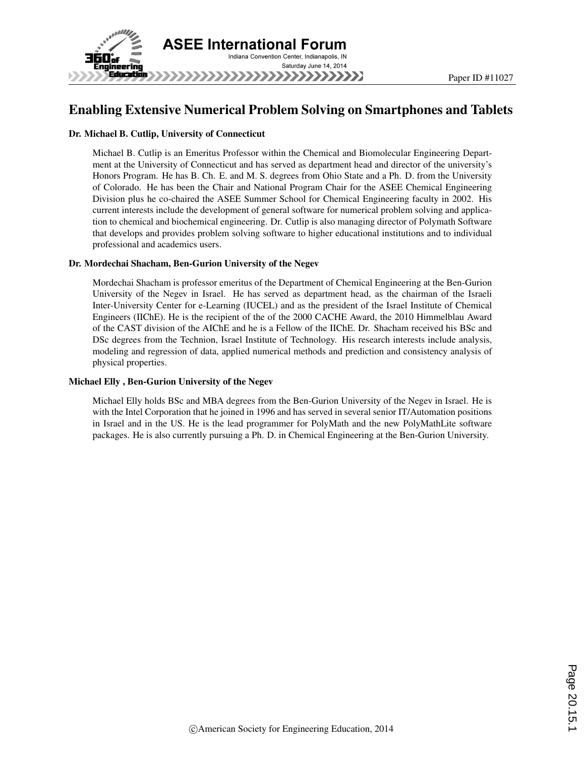

# Enabling Extensive Numerical Problem Solving on Smartphones and Tablets

#### Dr. Michael B. Cutlip, University of Connecticut

Michael B. Cutlip is an Emeritus Professor within the Chemical and Biomolecular Engineering Department at the University of Connecticut and has served as department head and director of the university's Honors Program. He has B. Ch. E. and M. S. degrees from Ohio State and a Ph. D. from the University of Colorado. He has been the Chair and National Program Chair for the ASEE Chemical Engineering Division plus he co-chaired the ASEE Summer School for Chemical Engineering faculty in 2002. His current interests include the development of general software for numerical problem solving and application to chemical and biochemical engineering. Dr. Cutlip is also managing director of Polymath Software that develops and provides problem solving software to higher educational institutions and to individual professional and academics users.

#### Dr. Mordechai Shacham, Ben-Gurion University of the Negev

Mordechai Shacham is professor emeritus of the Department of Chemical Engineering at the Ben-Gurion University of the Negev in Israel. He has served as department head, as the chairman of the Israeli Inter-University Center for e-Learning (IUCEL) and as the president of the Israel Institute of Chemical Engineers (IIChE). He is the recipient of the of the 2000 CACHE Award, the 2010 Himmelblau Award of the CAST division of the AIChE and he is a Fellow of the IIChE. Dr. Shacham received his BSc and DSc degrees from the Technion, Israel Institute of Technology. His research interests include analysis, modeling and regression of data, applied numerical methods and prediction and consistency analysis of physical properties.

#### Michael Elly , Ben-Gurion University of the Negev

Michael Elly holds BSc and MBA degrees from the Ben-Gurion University of the Negev in Israel. He is with the Intel Corporation that he joined in 1996 and has served in several senior IT/Automation positions in Israel and in the US. He is the lead programmer for PolyMath and the new PolyMathLite software packages. He is also currently pursuing a Ph. D. in Chemical Engineering at the Ben-Gurion University.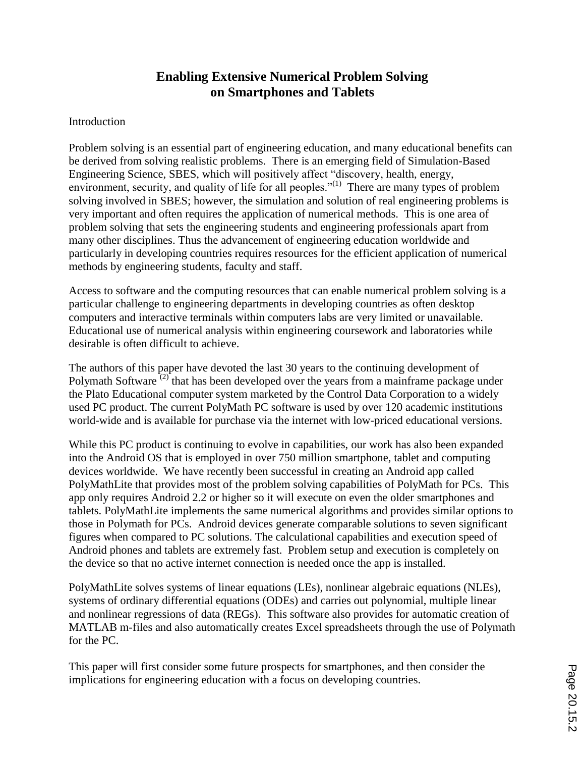# **Enabling Extensive Numerical Problem Solving on Smartphones and Tablets**

## Introduction

Problem solving is an essential part of engineering education, and many educational benefits can be derived from solving realistic problems. There is an emerging field of Simulation-Based Engineering Science, SBES, which will positively affect "discovery, health, energy, environment, security, and quality of life for all peoples."<sup>(1)</sup> There are many types of problem solving involved in SBES; however, the simulation and solution of real engineering problems is very important and often requires the application of numerical methods. This is one area of problem solving that sets the engineering students and engineering professionals apart from many other disciplines. Thus the advancement of engineering education worldwide and particularly in developing countries requires resources for the efficient application of numerical methods by engineering students, faculty and staff.

Access to software and the computing resources that can enable numerical problem solving is a particular challenge to engineering departments in developing countries as often desktop computers and interactive terminals within computers labs are very limited or unavailable. Educational use of numerical analysis within engineering coursework and laboratories while desirable is often difficult to achieve.

The authors of this paper have devoted the last 30 years to the continuing development of Polymath Software<sup>(2)</sup> that has been developed over the years from a mainframe package under the Plato Educational computer system marketed by the Control Data Corporation to a widely used PC product. The current PolyMath PC software is used by over 120 academic institutions world-wide and is available for purchase via the internet with low-priced educational versions.

While this PC product is continuing to evolve in capabilities, our work has also been expanded into the Android OS that is employed in over 750 million smartphone, tablet and computing devices worldwide. We have recently been successful in creating an Android app called PolyMathLite that provides most of the problem solving capabilities of PolyMath for PCs. This app only requires Android 2.2 or higher so it will execute on even the older smartphones and tablets. PolyMathLite implements the same numerical algorithms and provides similar options to those in Polymath for PCs. Android devices generate comparable solutions to seven significant figures when compared to PC solutions. The calculational capabilities and execution speed of Android phones and tablets are extremely fast. Problem setup and execution is completely on the device so that no active internet connection is needed once the app is installed.

PolyMathLite solves systems of linear equations (LEs), nonlinear algebraic equations (NLEs), systems of ordinary differential equations (ODEs) and carries out polynomial, multiple linear and nonlinear regressions of data (REGs). This software also provides for automatic creation of MATLAB m-files and also automatically creates Excel spreadsheets through the use of Polymath for the PC.

This paper will first consider some future prospects for smartphones, and then consider the implications for engineering education with a focus on developing countries.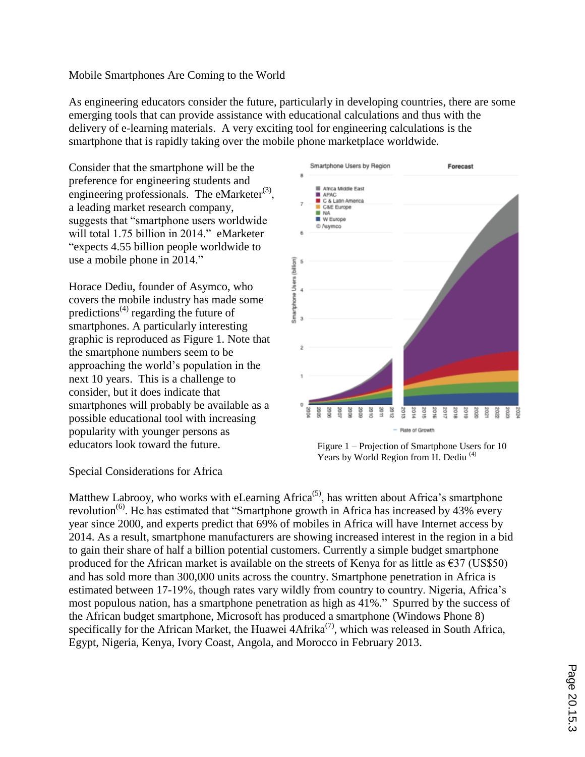### Mobile Smartphones Are Coming to the World

As engineering educators consider the future, particularly in developing countries, there are some emerging tools that can provide assistance with educational calculations and thus with the delivery of e-learning materials. A very exciting tool for engineering calculations is the smartphone that is rapidly taking over the mobile phone marketplace worldwide.

Consider that the smartphone will be the preference for engineering students and engineering professionals. The eMarketer $^{(3)}$ , a leading market research company, suggests that "smartphone users worldwide will total 1.75 billion in 2014." eMarketer "expects 4.55 billion people worldwide to use a mobile phone in 2014."

Horace Dediu, founder of Asymco, who covers the mobile industry has made some predictions<sup>(4)</sup> regarding the future of smartphones. A particularly interesting graphic is reproduced as Figure 1. Note that the smartphone numbers seem to be approaching the world's population in the next 10 years. This is a challenge to consider, but it does indicate that smartphones will probably be available as a possible educational tool with increasing popularity with younger persons as educators look toward the future.



Figure 1 – Projection of Smartphone Users for 10 Years by World Region from H. Dediu<sup>(4)</sup>

Special Considerations for Africa

Matthew Labrooy, who works with eLearning  $A$ frica<sup>(5)</sup>, has written about  $A$ frica's smartphone revolution<sup>(6)</sup>. He has estimated that "Smartphone growth in Africa has increased by 43% every year since 2000, and experts predict that 69% of mobiles in Africa will have Internet access by 2014. As a result, smartphone manufacturers are showing increased interest in the region in a bid to gain their share of half a billion potential customers. Currently a simple budget smartphone produced for the African market is available on the streets of Kenya for as little as  $\epsilon$ 37 (US\$50) and has sold more than 300,000 units across the country. Smartphone penetration in Africa is estimated between 17-19%, though rates vary wildly from country to country. Nigeria, Africa's most populous nation, has a smartphone penetration as high as 41%." Spurred by the success of the African budget smartphone, Microsoft has produced a smartphone (Windows Phone 8) specifically for the African Market, the Huawei  $4A$ frika<sup>(7)</sup>, which was released in South Africa, Egypt, Nigeria, Kenya, Ivory Coast, Angola, and Morocco in February 2013.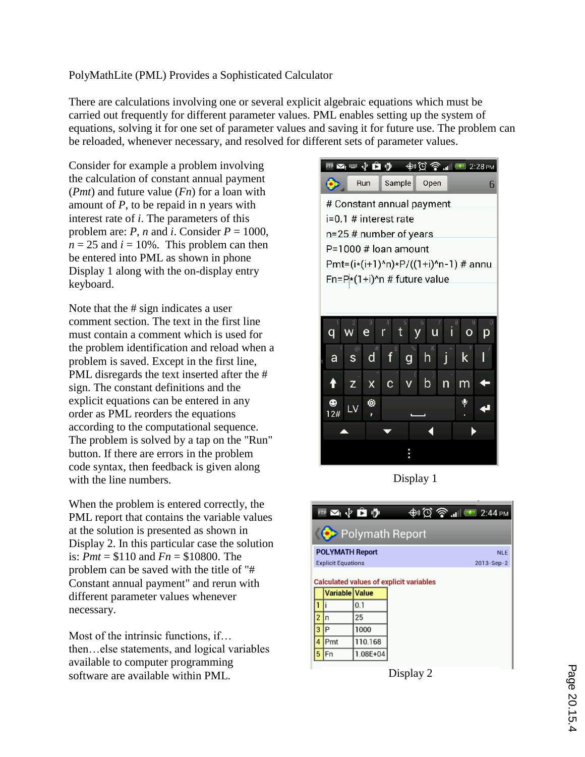## PolyMathLite (PML) Provides a Sophisticated Calculator

There are calculations involving one or several explicit algebraic equations which must be carried out frequently for different parameter values. PML enables setting up the system of equations, solving it for one set of parameter values and saving it for future use. The problem can be reloaded, whenever necessary, and resolved for different sets of parameter values.

Consider for example a problem involving the calculation of constant annual payment (*Pmt*) and future value (*Fn*) for a loan with amount of *P*, to be repaid in n years with interest rate of *i*. The parameters of this problem are: *P*, *n* and *i*. Consider  $P = 1000$ ,  $n = 25$  and  $i = 10\%$ . This problem can then be entered into PML as shown in phone Display 1 along with the on-display entry keyboard.

Note that the # sign indicates a user comment section. The text in the first line must contain a comment which is used for the problem identification and reload when a problem is saved. Except in the first line, PML disregards the text inserted after the # sign. The constant definitions and the explicit equations can be entered in any order as PML reorders the equations according to the computational sequence. The problem is solved by a tap on the "Run" button. If there are errors in the problem code syntax, then feedback is given along with the line numbers.

When the problem is entered correctly, the PML report that contains the variable values at the solution is presented as shown in Display 2. In this particular case the solution is: *Pmt* = \$110 and *Fn* = \$10800. The problem can be saved with the title of "# Constant annual payment" and rerun with different parameter values whenever necessary.

Most of the intrinsic functions, if… then…else statements, and logical variables available to computer programming software are available within PML.



Display 1

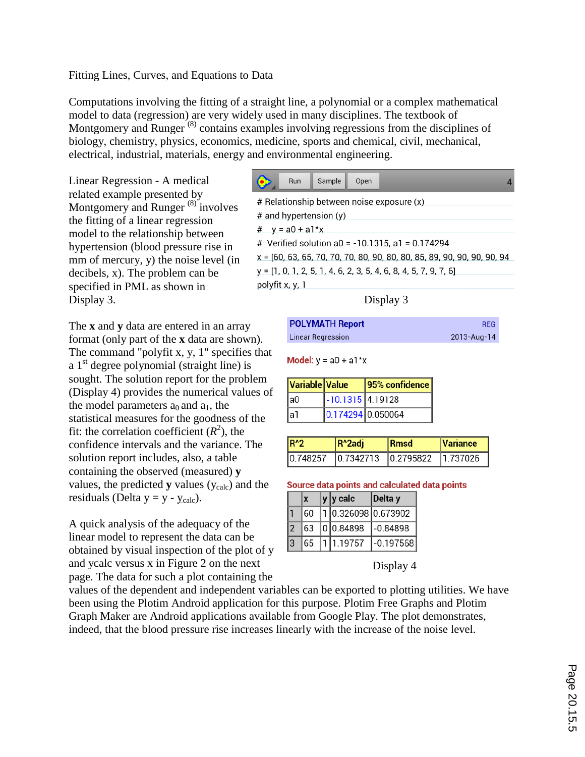### Fitting Lines, Curves, and Equations to Data

Computations involving the fitting of a straight line, a polynomial or a complex mathematical model to data (regression) are very widely used in many disciplines. The textbook of Montgomery and Runger<sup>(8)</sup> contains examples involving regressions from the disciplines of biology, chemistry, physics, economics, medicine, sports and chemical, civil, mechanical, electrical, industrial, materials, energy and environmental engineering.

Linear Regression - A medical related example presented by Montgomery and Runger<sup>(8)</sup> involves the fitting of a linear regression model to the relationship between hypertension (blood pressure rise in mm of mercury, y) the noise level (in decibels, x). The problem can be specified in PML as shown in Display 3.

The **x** and **y** data are entered in an array format (only part of the **x** data are shown). The command "polyfit x, y, 1" specifies that a  $1<sup>st</sup>$  degree polynomial (straight line) is sought. The solution report for the problem (Display 4) provides the numerical values of the model parameters  $a_0$  and  $a_1$ , the statistical measures for the goodness of the fit: the correlation coefficient  $(R^2)$ , the confidence intervals and the variance. The solution report includes, also, a table containing the observed (measured) **y** values, the predicted **y** values  $(y_{calc})$  and the residuals (Delta  $y = y - y_{calc}$ ).

A quick analysis of the adequacy of the linear model to represent the data can be obtained by visual inspection of the plot of y and ycalc versus x in Figure 2 on the next page. The data for such a plot containing the

| Sample<br>Run<br>Open                                                   |  |
|-------------------------------------------------------------------------|--|
| # Relationship between noise exposure (x)                               |  |
| # and hypertension (y)                                                  |  |
| # $y = a0 + a1*x$                                                       |  |
| # Verified solution a0 = -10.1315, a1 = 0.174294                        |  |
| x = [60, 63, 65, 70, 70, 70, 80, 90, 80, 80, 85, 89, 90, 90, 90, 90, 94 |  |
| y = [1, 0, 1, 2, 5, 1, 4, 6, 2, 3, 5, 4, 6, 8, 4, 5, 7, 9, 7, 6]        |  |
| polyfit x, y, 1                                                         |  |

Display 3

| <b>POLYMATH Report</b>   | <b>REG</b>  |
|--------------------------|-------------|
| <b>Linear Regression</b> | 2013-Aug-14 |

**Model:**  $y = a0 + a1*x$ 

| Variable Value |                    | 95% confidence |
|----------------|--------------------|----------------|
| la0            | $-10.1315$ 4.19128 |                |
| la1            | 0.174294 0.050064  |                |

| IR <sub>2</sub> | IR^2adi | <b>IRmsd</b>                    | <i><u><b>Nariance</b></u></i> |
|-----------------|---------|---------------------------------|-------------------------------|
| 10.748257       |         | 10.7342713 10.2795822 11.737026 |                               |

#### Source data points and calculated data points

|  |    | y  y calc           | Delta y     |
|--|----|---------------------|-------------|
|  | 60 | 1 0.326098 0.673902 |             |
|  | 63 |                     |             |
|  | 65 | 1 1.19757           | $-0.197568$ |

Display 4

values of the dependent and independent variables can be exported to plotting utilities. We have been using the Plotim Android application for this purpose. Plotim Free Graphs and Plotim Graph Maker are Android applications available from Google Play. The plot demonstrates, indeed, that the blood pressure rise increases linearly with the increase of the noise level.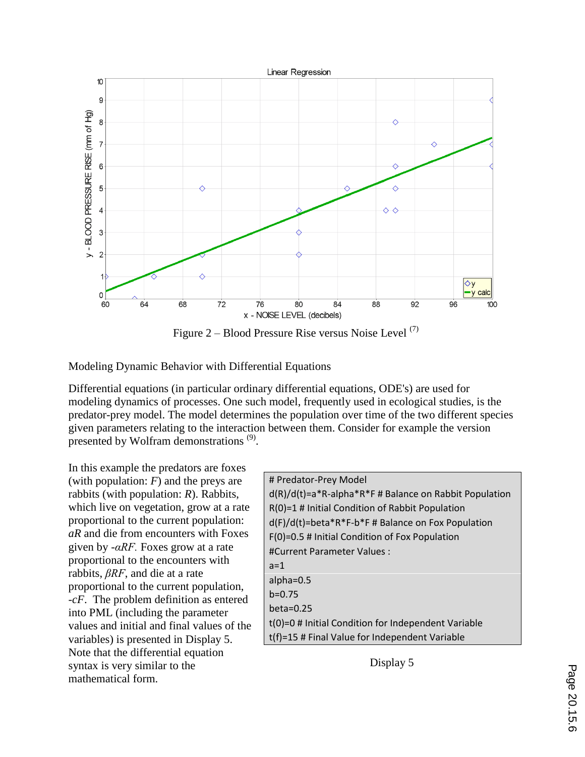

Figure  $2 - Blood Pressure$  Rise versus Noise Level  $(7)$ 

Modeling Dynamic Behavior with Differential Equations

Differential equations (in particular ordinary differential equations, ODE's) are used for modeling dynamics of processes. One such model, frequently used in ecological studies, is the predator-prey model. The model determines the population over time of the two different species given parameters relating to the interaction between them. Consider for example the version presented by Wolfram demonstrations  $(9)$ .

In this example the predators are foxes (with population: *F*) and the preys are rabbits (with population: *R*). Rabbits, which live on vegetation, grow at a rate proportional to the current population: *aR* and die from encounters with Foxes given by *-αRF.* Foxes grow at a rate proportional to the encounters with rabbits, *βRF*, and die at a rate proportional to the current population, -*cF*. The problem definition as entered into PML (including the parameter values and initial and final values of the variables) is presented in Display 5. Note that the differential equation syntax is very similar to the mathematical form.

| # Predator-Prey Model                                            |
|------------------------------------------------------------------|
| $d(R)/d(t) = a^*R - alpha^*R^*F \# Balance on Rabbit Population$ |
| $R(0)=1$ # Initial Condition of Rabbit Population                |
| $d(F)/d(t)$ =beta*R*F-b*F # Balance on Fox Population            |
| F(0)=0.5 # Initial Condition of Fox Population                   |
| #Current Parameter Values :                                      |
| $a=1$                                                            |
| alpha= $0.5$                                                     |
| $b=0.75$                                                         |
| beta= $0.25$                                                     |
| t(0)=0 # Initial Condition for Independent Variable              |
| t(f)=15 # Final Value for Independent Variable                   |

Display 5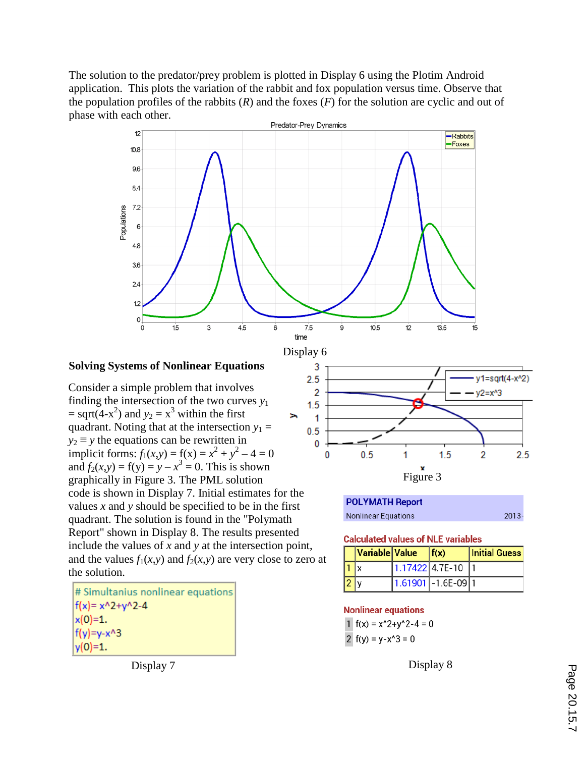The solution to the predator/prey problem is plotted in Display 6 using the Plotim Android application. This plots the variation of the rabbit and fox population versus time. Observe that the population profiles of the rabbits  $(R)$  and the foxes  $(F)$  for the solution are cyclic and out of phase with each other.



### **Solving Systems of Nonlinear Equations**

Consider a simple problem that involves finding the intersection of the two curves  $y_1$  $=$  sqrt(4-x<sup>2</sup>) and  $y_2 = x^3$  within the first × quadrant. Noting that at the intersection  $y_1 =$  $y_2 \equiv y$  the equations can be rewritten in implicit forms:  $f_1(x,y) = f(x) = x^2 + y^2 - 4 = 0$ and  $f_2(x,y) = f(y) = y - x^3 = 0$ . This is shown graphically in Figure 3. The PML solution code is shown in Display 7. Initial estimates for the values *x* and *y* should be specified to be in the first quadrant. The solution is found in the "Polymath Report" shown in Display 8. The results presented include the values of *x* and *y* at the intersection point, and the values  $f_1(x, y)$  and  $f_2(x, y)$  are very close to zero at the solution.

# Simultanius nonlinear equations  $f(x) = x^2 + y^2 - 4$  $x(0)=1.$  $f(y)=y-x^{3}3$  $y(0)=1.$ 



| POLYMATH Report     |          |
|---------------------|----------|
| Nonlinear Equations | $2013 -$ |

**Calculated values of NLE variables** 

|             | Variable Value | f(x)                  | <b>Initial Guess</b> |
|-------------|----------------|-----------------------|----------------------|
| I1          |                | $1.17422$ 4.7E-10 1   |                      |
| $ 2\rangle$ |                | $1.61901$ - 1.6E-09 1 |                      |

### **Nonlinear equations**

1  $f(x) = x^2 + y^2 - 4 = 0$ 2  $f(y) = y - x^3 = 0$ 

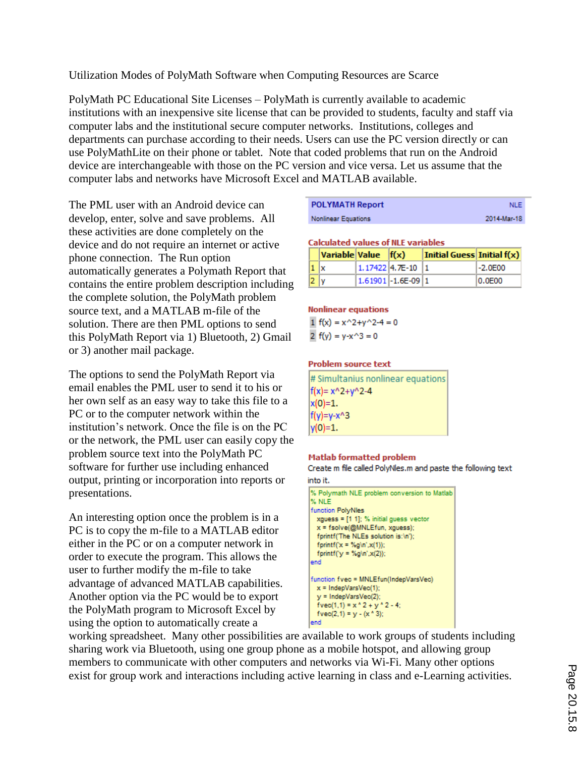Utilization Modes of PolyMath Software when Computing Resources are Scarce

PolyMath PC Educational Site Licenses – PolyMath is currently available to academic institutions with an inexpensive site license that can be provided to students, faculty and staff via computer labs and the institutional secure computer networks. Institutions, colleges and departments can purchase according to their needs. Users can use the PC version directly or can use PolyMathLite on their phone or tablet. Note that coded problems that run on the Android device are interchangeable with those on the PC version and vice versa. Let us assume that the computer labs and networks have Microsoft Excel and MATLAB available.

The PML user with an Android device can develop, enter, solve and save problems. All these activities are done completely on the device and do not require an internet or active phone connection. The Run option automatically generates a Polymath Report that contains the entire problem description including the complete solution, the PolyMath problem source text, and a MATLAB m-file of the solution. There are then PML options to send this PolyMath Report via 1) Bluetooth, 2) Gmail or 3) another mail package.

The options to send the PolyMath Report via email enables the PML user to send it to his or her own self as an easy way to take this file to a PC or to the computer network within the institution's network. Once the file is on the PC or the network, the PML user can easily copy the problem source text into the PolyMath PC software for further use including enhanced output, printing or incorporation into reports or presentations.

An interesting option once the problem is in a PC is to copy the m-file to a MATLAB editor either in the PC or on a computer network in order to execute the program. This allows the user to further modify the m-file to take advantage of advanced MATLAB capabilities. Another option via the PC would be to export the PolyMath program to Microsoft Excel by using the option to automatically create a

| <b>POLYMATH Report</b>     | <b>NLE</b>  |
|----------------------------|-------------|
| <b>Nonlinear Equations</b> | 2014-Mar-18 |

#### **Calculated values of NLE variables**

|                | $\vert$ Variable $\vert$ Value $\vert$ f(x) |                         | Initial Guess Initial $f(x)$ |            |
|----------------|---------------------------------------------|-------------------------|------------------------------|------------|
| $1\mathbf{x}$  |                                             | $1.17422$ 4.7E-10 1     |                              | $ -2.0E00$ |
| 2 <sub>y</sub> |                                             | $1.61901 - 1.6E - 0911$ |                              | 10.0E00    |

#### **Nonlinear equations**

1  $f(x) = x^2 + y^2 - 4 = 0$ 2  $f(y) = y - x^3 = 0$ 

#### **Problem source text**

| # Simultanius nonlinear equations |
|-----------------------------------|
| $f(x) = x^2 + y^2 - 4$            |
| x(0)=1.                           |
| f(y)=y-x^3                        |
| y(0)=1.                           |

### **Matlab formatted problem**

Create m file called PolyNles.m and paste the following text into it.

| % Polymath NLE problem conversion to Matlab<br>% NLE                |
|---------------------------------------------------------------------|
| function PolyNles<br>$xquess = [1 1]; % initial guess vector$       |
| $x = fsolve(\mathcal{Q}MNLEfun, xquess);$                           |
| fprintf('The NLEs solution is:\n');<br>fprintf $(x = %g\in x(1))$ ; |
| fprintf(' $y = \%$ g\n',x(2));<br>end                               |
| function fvec = MNLEfun(IndepVarsVec)<br>$x =$ IndepVarsVec(1):     |
| $y =$ IndepVarsVec(2);<br>$fvec(1,1) = x^2 + y^2 - 4$ ;             |
| $fvec(2,1) = y - (x * 3)$ ;<br>end                                  |

working spreadsheet. Many other possibilities are available to work groups of students including sharing work via Bluetooth, using one group phone as a mobile hotspot, and allowing group members to communicate with other computers and networks via Wi-Fi. Many other options exist for group work and interactions including active learning in class and e-Learning activities.